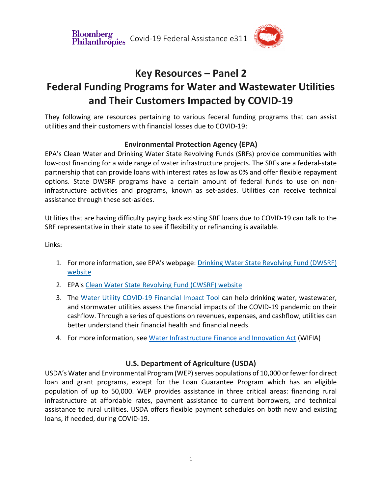Divolutions<br>Philanthropies Covid-19 Federal Assistance e311 **Bloomberg** 



# **Key Resources – Panel 2 Federal Funding Programs for Water and Wastewater Utilities and Their Customers Impacted by COVID-19**

They following are resources pertaining to various federal funding programs that can assist utilities and their customers with financial losses due to COVID-19:

## **Environmental Protection Agency (EPA)**

EPA's Clean Water and Drinking Water State Revolving Funds (SRFs) provide communities with low-cost financing for a wide range of water infrastructure projects. The SRFs are a federal-state partnership that can provide loans with interest rates as low as 0% and offer flexible repayment options. State DWSRF programs have a certain amount of federal funds to use on noninfrastructure activities and programs, known as set-asides. Utilities can receive technical assistance through these set-asides.

Utilities that are having difficulty paying back existing SRF loans due to COVID-19 can talk to the SRF representative in their state to see if flexibility or refinancing is available.

Links:

- 1. For more information, see EPA's webpage: Drinking Water State Revolving Fund (DWSRF) website
- 2. EPA's Clean Water State Revolving Fund (CWSRF) website
- 3. The Water Utility COVID-19 Financial Impact Tool can help drinking water, wastewater, and stormwater utilities assess the financial impacts of the COVID-19 pandemic on their cashflow. Through a series of questions on revenues, expenses, and cashflow, utilities can better understand their financial health and financial needs.
- 4. For more information, see Water Infrastructure Finance and Innovation Act (WIFIA)

## **U.S. Department of Agriculture (USDA)**

USDA's Water and Environmental Program (WEP) serves populations of 10,000 or fewer for direct loan and grant programs, except for the Loan Guarantee Program which has an eligible population of up to 50,000. WEP provides assistance in three critical areas: financing rural infrastructure at affordable rates, payment assistance to current borrowers, and technical assistance to rural utilities. USDA offers flexible payment schedules on both new and existing loans, if needed, during COVID-19.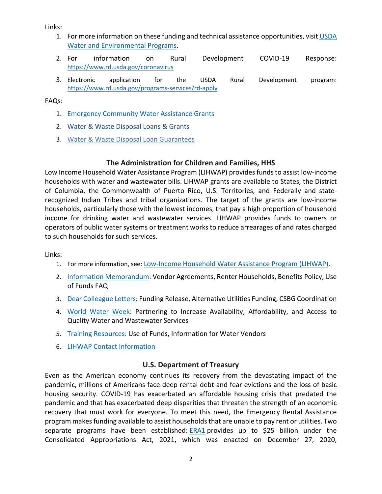Links:

- 1. For more information on these funding and technical assistance opportunities, visit USDA Water and Environmental Programs.
- 2. For information on Rural Development COVID-19 Response: https://www.rd.usda.gov/coronavirus
- 3. Electronic application for the USDA Rural Development program: https://www.rd.usda.gov/programs-services/rd-apply

FAQs:

- 1. Emergency Community Water Assistance Grants
- 2. Water & Waste Disposal Loans & Grants
- 3. Water & Waste Disposal Loan Guarantees

### **The Administration for Children and Families, HHS**

Low Income Household Water Assistance Program (LIHWAP) provides funds to assist low-income households with water and wastewater bills. LIHWAP grants are available to States, the District of Columbia, the Commonwealth of Puerto Rico, U.S. Territories, and Federally and staterecognized Indian Tribes and tribal organizations. The target of the grants are low-income households, particularly those with the lowest incomes, that pay a high proportion of household income for drinking water and wastewater services. LIHWAP provides funds to owners or operators of public water systems or treatment works to reduce arrearages of and rates charged to such households for such services.

Links:

- 1. For more information, see: Low-Income Household Water Assistance Program (LIHWAP).
- 2. Information Memorandum: Vendor Agreements, Renter Households, Benefits Policy, Use of Funds FAQ
- 3. Dear Colleague Letters: Funding Release, Alternative Utilities Funding, CSBG Coordination
- 4. World Water Week: Partnering to Increase Availability, Affordability, and Access to Quality Water and Wastewater Services
- 5. Training Resources: Use of Funds, Information for Water Vendors
- 6. LIHWAP Contact Information

### **U.S. Department of Treasury**

Even as the American economy continues its recovery from the devastating impact of the pandemic, millions of Americans face deep rental debt and fear evictions and the loss of basic housing security. COVID-19 has exacerbated an affordable housing crisis that predated the pandemic and that has exacerbated deep disparities that threaten the strength of an economic recovery that must work for everyone. To meet this need, the Emergency Rental Assistance program makes funding available to assist households that are unable to pay rent or utilities. Two separate programs have been established: ERA1 provides up to \$25 billion under the Consolidated Appropriations Act, 2021, which was enacted on December 27, 2020,